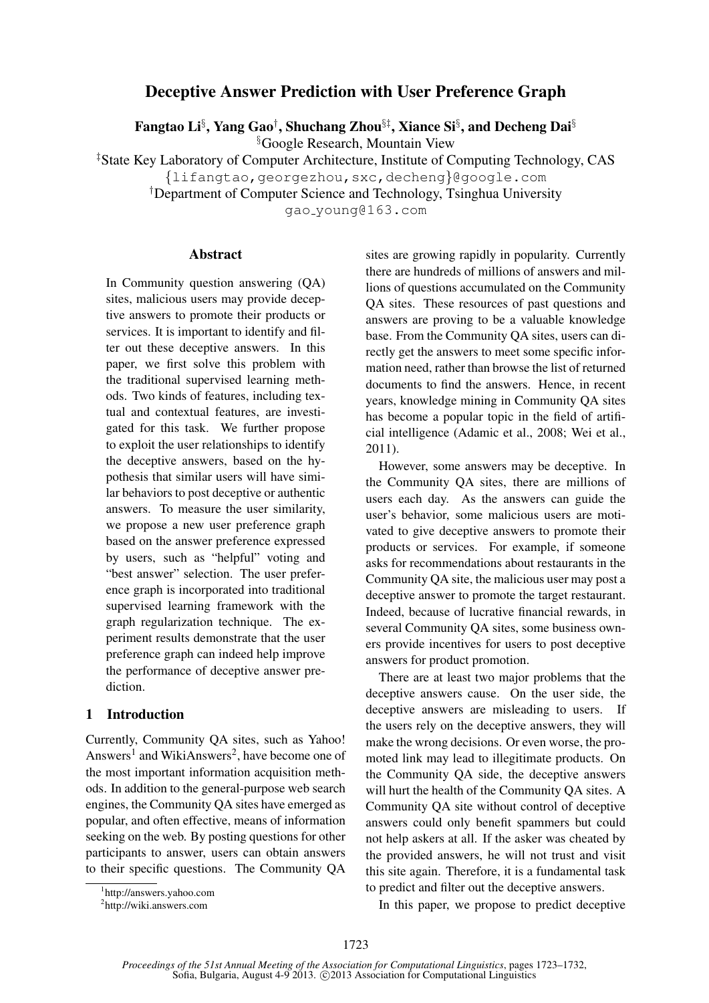# Deceptive Answer Prediction with User Preference Graph

Fangtao Li§ , Yang Gao† , Shuchang Zhou§‡, Xiance Si§ , and Decheng Dai§

§Google Research, Mountain View

‡State Key Laboratory of Computer Architecture, Institute of Computing Technology, CAS

{lifangtao,georgezhou,sxc,decheng}@google.com

†Department of Computer Science and Technology, Tsinghua University

gao young@163.com

### Abstract

In Community question answering (QA) sites, malicious users may provide deceptive answers to promote their products or services. It is important to identify and filter out these deceptive answers. In this paper, we first solve this problem with the traditional supervised learning methods. Two kinds of features, including textual and contextual features, are investigated for this task. We further propose to exploit the user relationships to identify the deceptive answers, based on the hypothesis that similar users will have similar behaviors to post deceptive or authentic answers. To measure the user similarity, we propose a new user preference graph based on the answer preference expressed by users, such as "helpful" voting and "best answer" selection. The user preference graph is incorporated into traditional supervised learning framework with the graph regularization technique. The experiment results demonstrate that the user preference graph can indeed help improve the performance of deceptive answer prediction.

# 1 Introduction

Currently, Community QA sites, such as Yahoo! Answers<sup>1</sup> and WikiAnswers<sup>2</sup>, have become one of the most important information acquisition methods. In addition to the general-purpose web search engines, the Community QA sites have emerged as popular, and often effective, means of information seeking on the web. By posting questions for other participants to answer, users can obtain answers to their specific questions. The Community QA sites are growing rapidly in popularity. Currently there are hundreds of millions of answers and millions of questions accumulated on the Community QA sites. These resources of past questions and answers are proving to be a valuable knowledge base. From the Community QA sites, users can directly get the answers to meet some specific information need, rather than browse the list of returned documents to find the answers. Hence, in recent years, knowledge mining in Community QA sites has become a popular topic in the field of artificial intelligence (Adamic et al., 2008; Wei et al., 2011).

However, some answers may be deceptive. In the Community QA sites, there are millions of users each day. As the answers can guide the user's behavior, some malicious users are motivated to give deceptive answers to promote their products or services. For example, if someone asks for recommendations about restaurants in the Community QA site, the malicious user may post a deceptive answer to promote the target restaurant. Indeed, because of lucrative financial rewards, in several Community QA sites, some business owners provide incentives for users to post deceptive answers for product promotion.

There are at least two major problems that the deceptive answers cause. On the user side, the deceptive answers are misleading to users. If the users rely on the deceptive answers, they will make the wrong decisions. Or even worse, the promoted link may lead to illegitimate products. On the Community QA side, the deceptive answers will hurt the health of the Community QA sites. A Community QA site without control of deceptive answers could only benefit spammers but could not help askers at all. If the asker was cheated by the provided answers, he will not trust and visit this site again. Therefore, it is a fundamental task to predict and filter out the deceptive answers.

In this paper, we propose to predict deceptive

<sup>1</sup> http://answers.yahoo.com

<sup>2</sup> http://wiki.answers.com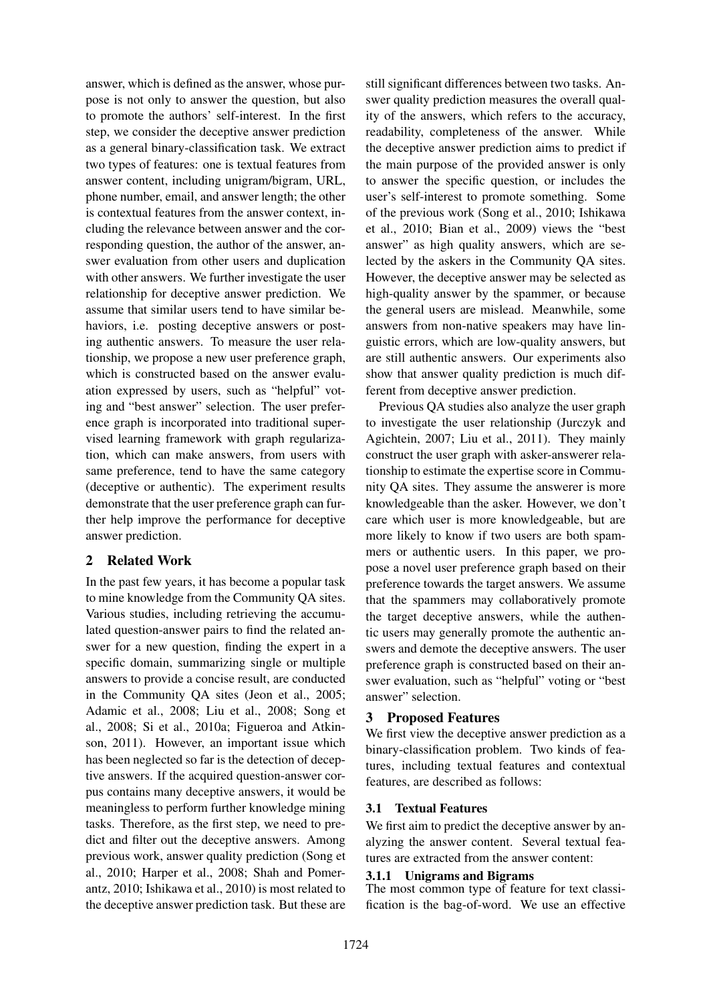answer, which is defined as the answer, whose purpose is not only to answer the question, but also to promote the authors' self-interest. In the first step, we consider the deceptive answer prediction as a general binary-classification task. We extract two types of features: one is textual features from answer content, including unigram/bigram, URL, phone number, email, and answer length; the other is contextual features from the answer context, including the relevance between answer and the corresponding question, the author of the answer, answer evaluation from other users and duplication with other answers. We further investigate the user relationship for deceptive answer prediction. We assume that similar users tend to have similar behaviors, i.e. posting deceptive answers or posting authentic answers. To measure the user relationship, we propose a new user preference graph, which is constructed based on the answer evaluation expressed by users, such as "helpful" voting and "best answer" selection. The user preference graph is incorporated into traditional supervised learning framework with graph regularization, which can make answers, from users with same preference, tend to have the same category (deceptive or authentic). The experiment results demonstrate that the user preference graph can further help improve the performance for deceptive answer prediction.

# 2 Related Work

In the past few years, it has become a popular task to mine knowledge from the Community QA sites. Various studies, including retrieving the accumulated question-answer pairs to find the related answer for a new question, finding the expert in a specific domain, summarizing single or multiple answers to provide a concise result, are conducted in the Community QA sites (Jeon et al., 2005; Adamic et al., 2008; Liu et al., 2008; Song et al., 2008; Si et al., 2010a; Figueroa and Atkinson, 2011). However, an important issue which has been neglected so far is the detection of deceptive answers. If the acquired question-answer corpus contains many deceptive answers, it would be meaningless to perform further knowledge mining tasks. Therefore, as the first step, we need to predict and filter out the deceptive answers. Among previous work, answer quality prediction (Song et al., 2010; Harper et al., 2008; Shah and Pomerantz, 2010; Ishikawa et al., 2010) is most related to the deceptive answer prediction task. But these are

still significant differences between two tasks. Answer quality prediction measures the overall quality of the answers, which refers to the accuracy, readability, completeness of the answer. While the deceptive answer prediction aims to predict if the main purpose of the provided answer is only to answer the specific question, or includes the user's self-interest to promote something. Some of the previous work (Song et al., 2010; Ishikawa et al., 2010; Bian et al., 2009) views the "best answer" as high quality answers, which are selected by the askers in the Community QA sites. However, the deceptive answer may be selected as high-quality answer by the spammer, or because the general users are mislead. Meanwhile, some answers from non-native speakers may have linguistic errors, which are low-quality answers, but are still authentic answers. Our experiments also show that answer quality prediction is much different from deceptive answer prediction.

Previous QA studies also analyze the user graph to investigate the user relationship (Jurczyk and Agichtein, 2007; Liu et al., 2011). They mainly construct the user graph with asker-answerer relationship to estimate the expertise score in Community QA sites. They assume the answerer is more knowledgeable than the asker. However, we don't care which user is more knowledgeable, but are more likely to know if two users are both spammers or authentic users. In this paper, we propose a novel user preference graph based on their preference towards the target answers. We assume that the spammers may collaboratively promote the target deceptive answers, while the authentic users may generally promote the authentic answers and demote the deceptive answers. The user preference graph is constructed based on their answer evaluation, such as "helpful" voting or "best answer" selection.

# 3 Proposed Features

We first view the deceptive answer prediction as a binary-classification problem. Two kinds of features, including textual features and contextual features, are described as follows:

# 3.1 Textual Features

We first aim to predict the deceptive answer by analyzing the answer content. Several textual features are extracted from the answer content:

# 3.1.1 Unigrams and Bigrams

The most common type of feature for text classification is the bag-of-word. We use an effective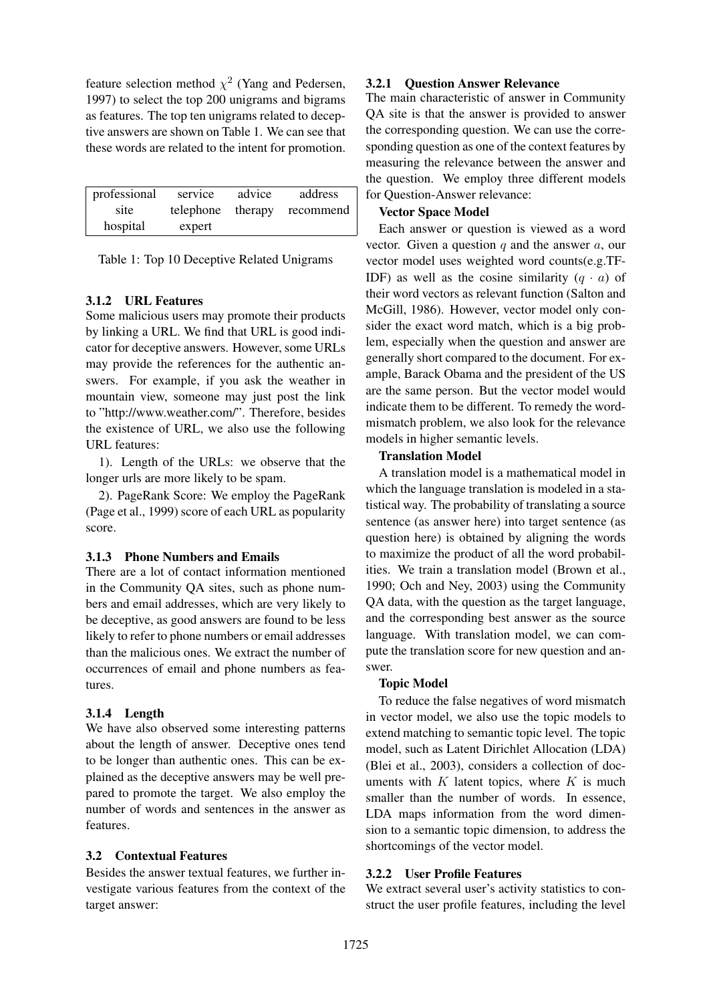feature selection method  $\chi^2$  (Yang and Pedersen, 1997) to select the top 200 unigrams and bigrams as features. The top ten unigrams related to deceptive answers are shown on Table 1. We can see that these words are related to the intent for promotion.

| professional | service   | advice  | address   |
|--------------|-----------|---------|-----------|
| site         | telephone | therapy | recommend |
| hospital     | expert    |         |           |

Table 1: Top 10 Deceptive Related Unigrams

# 3.1.2 URL Features

Some malicious users may promote their products by linking a URL. We find that URL is good indicator for deceptive answers. However, some URLs may provide the references for the authentic answers. For example, if you ask the weather in mountain view, someone may just post the link to "http://www.weather.com/". Therefore, besides the existence of URL, we also use the following URL features:

1). Length of the URLs: we observe that the longer urls are more likely to be spam.

2). PageRank Score: We employ the PageRank (Page et al., 1999) score of each URL as popularity score.

# 3.1.3 Phone Numbers and Emails

There are a lot of contact information mentioned in the Community QA sites, such as phone numbers and email addresses, which are very likely to be deceptive, as good answers are found to be less likely to refer to phone numbers or email addresses than the malicious ones. We extract the number of occurrences of email and phone numbers as features.

# 3.1.4 Length

We have also observed some interesting patterns about the length of answer. Deceptive ones tend to be longer than authentic ones. This can be explained as the deceptive answers may be well prepared to promote the target. We also employ the number of words and sentences in the answer as features.

# 3.2 Contextual Features

Besides the answer textual features, we further investigate various features from the context of the target answer:

### 3.2.1 Question Answer Relevance

The main characteristic of answer in Community QA site is that the answer is provided to answer the corresponding question. We can use the corresponding question as one of the context features by measuring the relevance between the answer and the question. We employ three different models for Question-Answer relevance:

### Vector Space Model

Each answer or question is viewed as a word vector. Given a question  $q$  and the answer  $a$ , our vector model uses weighted word counts(e.g.TF-IDF) as well as the cosine similarity  $(q \cdot a)$  of their word vectors as relevant function (Salton and McGill, 1986). However, vector model only consider the exact word match, which is a big problem, especially when the question and answer are generally short compared to the document. For example, Barack Obama and the president of the US are the same person. But the vector model would indicate them to be different. To remedy the wordmismatch problem, we also look for the relevance models in higher semantic levels.

### Translation Model

A translation model is a mathematical model in which the language translation is modeled in a statistical way. The probability of translating a source sentence (as answer here) into target sentence (as question here) is obtained by aligning the words to maximize the product of all the word probabilities. We train a translation model (Brown et al., 1990; Och and Ney, 2003) using the Community QA data, with the question as the target language, and the corresponding best answer as the source language. With translation model, we can compute the translation score for new question and answer.

# Topic Model

To reduce the false negatives of word mismatch in vector model, we also use the topic models to extend matching to semantic topic level. The topic model, such as Latent Dirichlet Allocation (LDA) (Blei et al., 2003), considers a collection of documents with  $K$  latent topics, where  $K$  is much smaller than the number of words. In essence, LDA maps information from the word dimension to a semantic topic dimension, to address the shortcomings of the vector model.

# 3.2.2 User Profile Features

We extract several user's activity statistics to construct the user profile features, including the level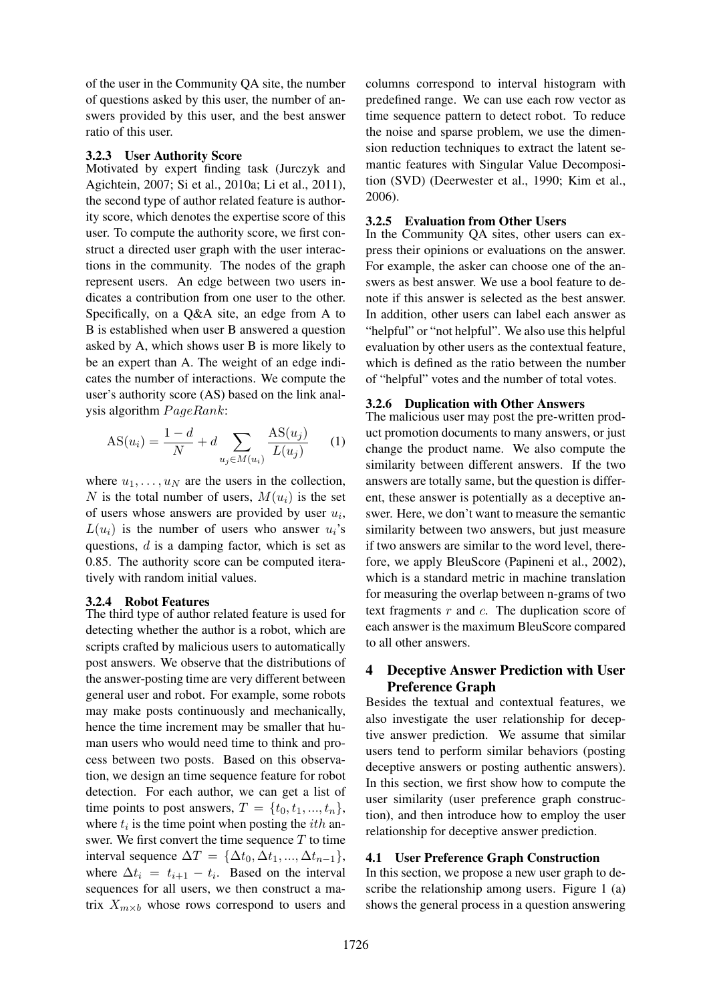of the user in the Community QA site, the number of questions asked by this user, the number of answers provided by this user, and the best answer ratio of this user.

### 3.2.3 User Authority Score

Motivated by expert finding task (Jurczyk and Agichtein, 2007; Si et al., 2010a; Li et al., 2011), the second type of author related feature is authority score, which denotes the expertise score of this user. To compute the authority score, we first construct a directed user graph with the user interactions in the community. The nodes of the graph represent users. An edge between two users indicates a contribution from one user to the other. Specifically, on a Q&A site, an edge from A to B is established when user B answered a question asked by A, which shows user B is more likely to be an expert than A. The weight of an edge indicates the number of interactions. We compute the user's authority score (AS) based on the link analysis algorithm  $PageRank$ :

$$
AS(u_i) = \frac{1 - d}{N} + d \sum_{u_j \in M(u_i)} \frac{AS(u_j)}{L(u_j)}
$$
 (1)

where  $u_1, \ldots, u_N$  are the users in the collection, N is the total number of users,  $M(u_i)$  is the set of users whose answers are provided by user  $u_i$ ,  $L(u_i)$  is the number of users who answer  $u_i$ 's questions, d is a damping factor, which is set as 0.85. The authority score can be computed iteratively with random initial values.

### 3.2.4 Robot Features

The third type of author related feature is used for detecting whether the author is a robot, which are scripts crafted by malicious users to automatically post answers. We observe that the distributions of the answer-posting time are very different between general user and robot. For example, some robots may make posts continuously and mechanically, hence the time increment may be smaller that human users who would need time to think and process between two posts. Based on this observation, we design an time sequence feature for robot detection. For each author, we can get a list of time points to post answers,  $T = \{t_0, t_1, ..., t_n\},\$ where  $t_i$  is the time point when posting the *ith* answer. We first convert the time sequence  $T$  to time interval sequence  $\Delta T = {\Delta t_0, \Delta t_1, ..., \Delta t_{n-1}},$ where  $\Delta t_i = t_{i+1} - t_i$ . Based on the interval sequences for all users, we then construct a matrix  $X_{m\times b}$  whose rows correspond to users and columns correspond to interval histogram with predefined range. We can use each row vector as time sequence pattern to detect robot. To reduce the noise and sparse problem, we use the dimension reduction techniques to extract the latent semantic features with Singular Value Decomposition (SVD) (Deerwester et al., 1990; Kim et al., 2006).

### 3.2.5 Evaluation from Other Users

In the Community QA sites, other users can express their opinions or evaluations on the answer. For example, the asker can choose one of the answers as best answer. We use a bool feature to denote if this answer is selected as the best answer. In addition, other users can label each answer as "helpful" or "not helpful". We also use this helpful evaluation by other users as the contextual feature, which is defined as the ratio between the number of "helpful" votes and the number of total votes.

### 3.2.6 Duplication with Other Answers

The malicious user may post the pre-written product promotion documents to many answers, or just change the product name. We also compute the similarity between different answers. If the two answers are totally same, but the question is different, these answer is potentially as a deceptive answer. Here, we don't want to measure the semantic similarity between two answers, but just measure if two answers are similar to the word level, therefore, we apply BleuScore (Papineni et al., 2002), which is a standard metric in machine translation for measuring the overlap between n-grams of two text fragments  $r$  and  $c$ . The duplication score of each answer is the maximum BleuScore compared to all other answers.

# 4 Deceptive Answer Prediction with User Preference Graph

Besides the textual and contextual features, we also investigate the user relationship for deceptive answer prediction. We assume that similar users tend to perform similar behaviors (posting deceptive answers or posting authentic answers). In this section, we first show how to compute the user similarity (user preference graph construction), and then introduce how to employ the user relationship for deceptive answer prediction.

#### 4.1 User Preference Graph Construction

In this section, we propose a new user graph to describe the relationship among users. Figure 1 (a) shows the general process in a question answering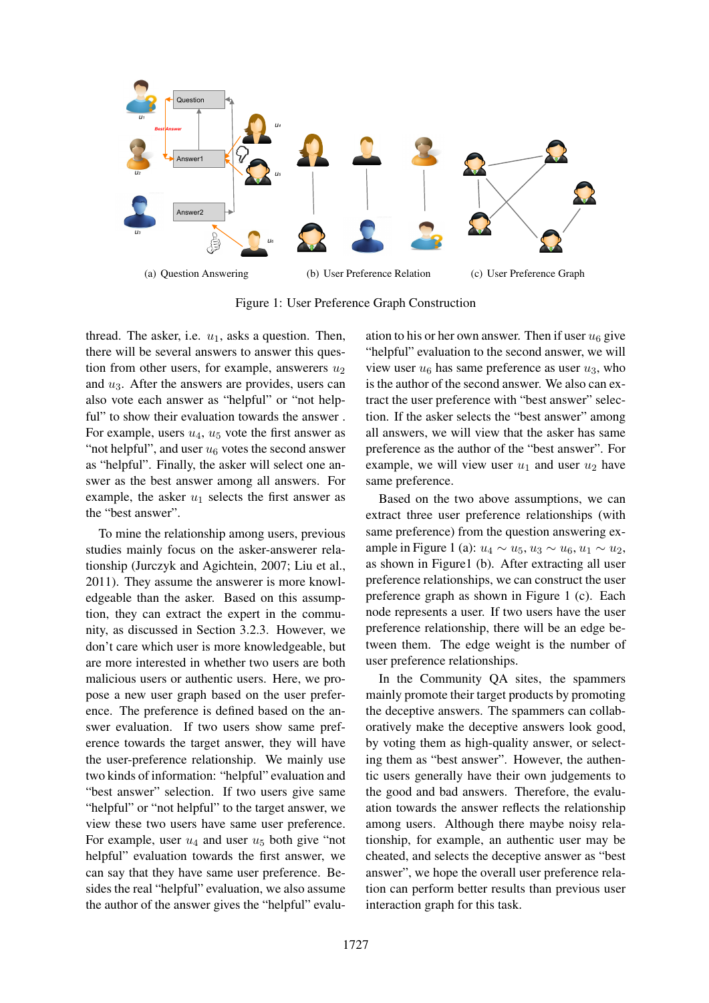

Figure 1: User Preference Graph Construction

thread. The asker, i.e.  $u_1$ , asks a question. Then, there will be several answers to answer this question from other users, for example, answerers  $u_2$ and  $u_3$ . After the answers are provides, users can also vote each answer as "helpful" or "not helpful" to show their evaluation towards the answer. For example, users  $u_4$ ,  $u_5$  vote the first answer as "not helpful", and user  $u_6$  votes the second answer as "helpful". Finally, the asker will select one answer as the best answer among all answers. For example, the asker  $u_1$  selects the first answer as the "best answer".

To mine the relationship among users, previous studies mainly focus on the asker-answerer relationship (Jurczyk and Agichtein, 2007; Liu et al., 2011). They assume the answerer is more knowledgeable than the asker. Based on this assumption, they can extract the expert in the community, as discussed in Section 3.2.3. However, we don't care which user is more knowledgeable, but are more interested in whether two users are both malicious users or authentic users. Here, we propose a new user graph based on the user preference. The preference is defined based on the answer evaluation. If two users show same preference towards the target answer, they will have the user-preference relationship. We mainly use two kinds of information: "helpful" evaluation and "best answer" selection. If two users give same "helpful" or "not helpful" to the target answer, we view these two users have same user preference. For example, user  $u_4$  and user  $u_5$  both give "not helpful" evaluation towards the first answer, we can say that they have same user preference. Besides the real "helpful" evaluation, we also assume the author of the answer gives the "helpful" evaluation to his or her own answer. Then if user  $u_6$  give "helpful" evaluation to the second answer, we will view user  $u_6$  has same preference as user  $u_3$ , who is the author of the second answer. We also can extract the user preference with "best answer" selection. If the asker selects the "best answer" among all answers, we will view that the asker has same preference as the author of the "best answer". For example, we will view user  $u_1$  and user  $u_2$  have same preference.

Based on the two above assumptions, we can extract three user preference relationships (with same preference) from the question answering example in Figure 1 (a):  $u_4 \sim u_5$ ,  $u_3 \sim u_6$ ,  $u_1 \sim u_2$ , as shown in Figure1 (b). After extracting all user preference relationships, we can construct the user preference graph as shown in Figure 1 (c). Each node represents a user. If two users have the user preference relationship, there will be an edge between them. The edge weight is the number of user preference relationships.

In the Community QA sites, the spammers mainly promote their target products by promoting the deceptive answers. The spammers can collaboratively make the deceptive answers look good, by voting them as high-quality answer, or selecting them as "best answer". However, the authentic users generally have their own judgements to the good and bad answers. Therefore, the evaluation towards the answer reflects the relationship among users. Although there maybe noisy relationship, for example, an authentic user may be cheated, and selects the deceptive answer as "best answer", we hope the overall user preference relation can perform better results than previous user interaction graph for this task.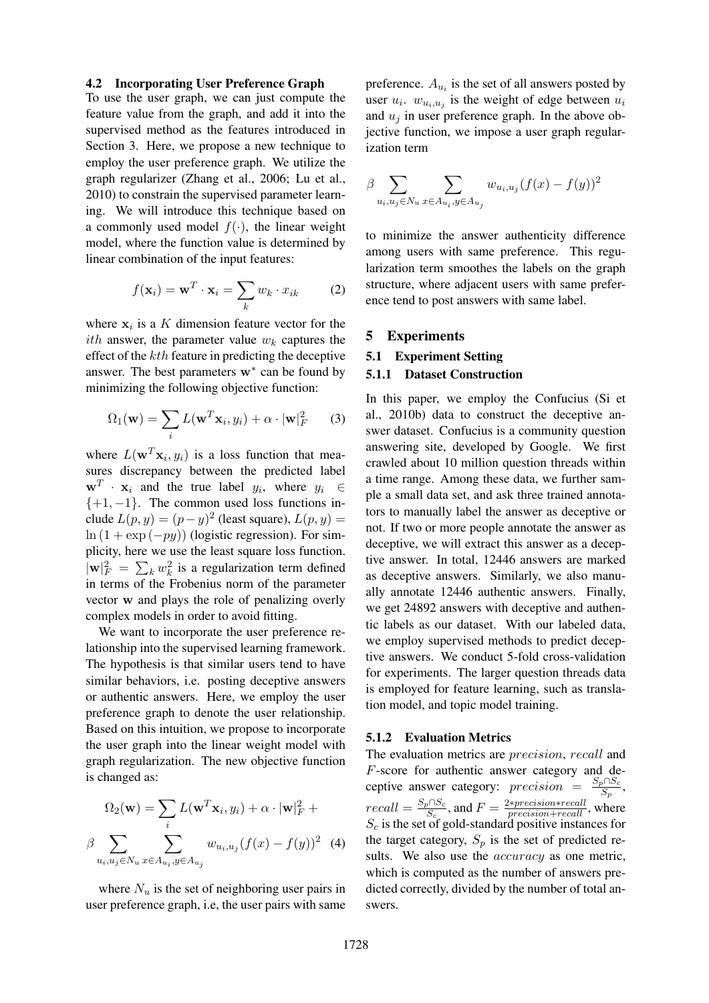#### 4.2 Incorporating User Preference Graph

To use the user graph, we can just compute the feature value from the graph, and add it into the supervised method as the features introduced in Section 3. Here, we propose a new technique to employ the user preference graph. We utilize the graph regularizer (Zhang et al., 2006; Lu et al., 2010) to constrain the supervised parameter learning. We will introduce this technique based on a commonly used model  $f(\cdot)$ , the linear weight model, where the function value is determined by linear combination of the input features:

$$
f(\mathbf{x}_i) = \mathbf{w}^T \cdot \mathbf{x}_i = \sum_k w_k \cdot x_{ik} \tag{2}
$$

where  $x_i$  is a K dimension feature vector for the *ith* answer, the parameter value  $w_k$  captures the effect of the kth feature in predicting the deceptive answer. The best parameters  $w^*$  can be found by minimizing the following objective function:

$$
\Omega_1(\mathbf{w}) = \sum_i L(\mathbf{w}^T \mathbf{x}_i, y_i) + \alpha \cdot |\mathbf{w}|_F^2 \qquad (3)
$$

where  $L(\mathbf{w}^T \mathbf{x}_i, y_i)$  is a loss function that measures discrepancy between the predicted label  $\mathbf{w}^T \cdot \mathbf{x}_i$  and the true label  $y_i$ , where  $y_i \in$  $\{+1, -1\}$ . The common used loss functions include  $L(p, y) = (p - y)^2$  (least square),  $L(p, y) =$  $\ln (1 + \exp(-py))$  (logistic regression). For simplicity, here we use the least square loss function.  $|\mathbf{w}|_F^2 = \sum_k w_k^2$  is a regularization term defined in terms of the Frobenius norm of the parameter vector w and plays the role of penalizing overly complex models in order to avoid fitting.

We want to incorporate the user preference relationship into the supervised learning framework. The hypothesis is that similar users tend to have similar behaviors, i.e. posting deceptive answers or authentic answers. Here, we employ the user preference graph to denote the user relationship. Based on this intuition, we propose to incorporate the user graph into the linear weight model with graph regularization. The new objective function is changed as:

$$
\Omega_2(\mathbf{w}) = \sum_i L(\mathbf{w}^T \mathbf{x}_i, y_i) + \alpha \cdot |\mathbf{w}|_F^2 +
$$

$$
\beta \sum_{u_i, u_j \in N_u} \sum_{x \in A_{u_i}, y \in A_{u_j}} w_{u_i, u_j} (f(x) - f(y))^2 \tag{4}
$$

where  $N_u$  is the set of neighboring user pairs in user preference graph, i.e, the user pairs with same

preference.  $A_{u_i}$  is the set of all answers posted by user  $u_i$ .  $w_{u_i, u_j}$  is the weight of edge between  $u_i$ and  $u_i$  in user preference graph. In the above objective function, we impose a user graph regularization term

$$
\beta \sum_{u_i, u_j \in N_u} \sum_{x \in A_{u_i}, y \in A_{u_j}} w_{u_i, u_j} (f(x) - f(y))^2
$$

to minimize the answer authenticity difference among users with same preference. This regularization term smoothes the labels on the graph structure, where adjacent users with same preference tend to post answers with same label.

#### 5 Experiments

#### 5.1 Experiment Setting

#### 5.1.1 Dataset Construction

In this paper, we employ the Confucius (Si et al., 2010b) data to construct the deceptive answer dataset. Confucius is a community question answering site, developed by Google. We first crawled about 10 million question threads within a time range. Among these data, we further sample a small data set, and ask three trained annotators to manually label the answer as deceptive or not. If two or more people annotate the answer as deceptive, we will extract this answer as a deceptive answer. In total, 12446 answers are marked as deceptive answers. Similarly, we also manually annotate 12446 authentic answers. Finally, we get 24892 answers with deceptive and authentic labels as our dataset. With our labeled data, we employ supervised methods to predict deceptive answers. We conduct 5-fold cross-validation for experiments. The larger question threads data is employed for feature learning, such as translation model, and topic model training.

### 5.1.2 Evaluation Metrics

The evaluation metrics are precision, recall and F-score for authentic answer category and deceptive answer category:  $precision = \frac{S_p \cap S_c}{S_p}$ ,  $recall = \frac{S_p \cap S_c}{S_c}$ , and  $F = \frac{2*precision*recall}{precision+recall}$ , where  $S_c$  is the set of gold-standard positive instances for the target category,  $S_p$  is the set of predicted results. We also use the *accuracy* as one metric, which is computed as the number of answers predicted correctly, divided by the number of total answers.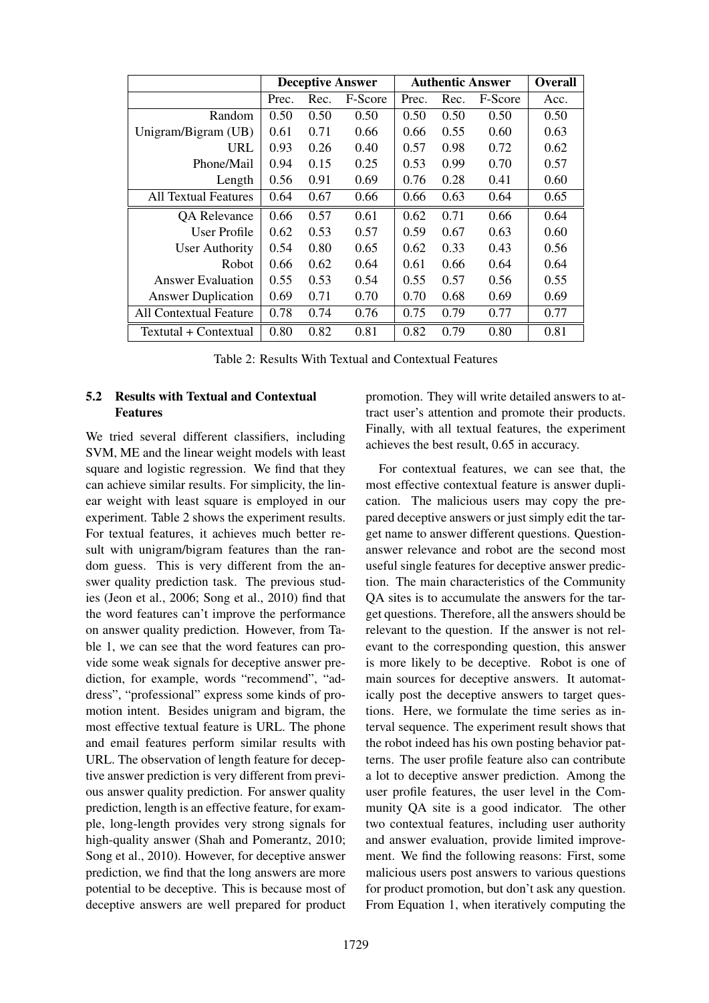|                               | <b>Deceptive Answer</b> |      |         | <b>Authentic Answer</b> | <b>Overall</b> |         |      |
|-------------------------------|-------------------------|------|---------|-------------------------|----------------|---------|------|
|                               | Prec.                   | Rec. | F-Score | Prec.                   | Rec.           | F-Score | Acc. |
| Random                        | 0.50                    | 0.50 | 0.50    | 0.50                    | 0.50           | 0.50    | 0.50 |
| Unigram/Bigram (UB)           | 0.61                    | 0.71 | 0.66    | 0.66                    | 0.55           | 0.60    | 0.63 |
| URL                           | 0.93                    | 0.26 | 0.40    | 0.57                    | 0.98           | 0.72    | 0.62 |
| Phone/Mail                    | 0.94                    | 0.15 | 0.25    | 0.53                    | 0.99           | 0.70    | 0.57 |
| Length                        | 0.56                    | 0.91 | 0.69    | 0.76                    | 0.28           | 0.41    | 0.60 |
| <b>All Textual Features</b>   | 0.64                    | 0.67 | 0.66    | 0.66                    | 0.63           | 0.64    | 0.65 |
| QA Relevance                  | 0.66                    | 0.57 | 0.61    | 0.62                    | 0.71           | 0.66    | 0.64 |
| <b>User Profile</b>           | 0.62                    | 0.53 | 0.57    | 0.59                    | 0.67           | 0.63    | 0.60 |
| <b>User Authority</b>         | 0.54                    | 0.80 | 0.65    | 0.62                    | 0.33           | 0.43    | 0.56 |
| Robot                         | 0.66                    | 0.62 | 0.64    | 0.61                    | 0.66           | 0.64    | 0.64 |
| <b>Answer Evaluation</b>      | 0.55                    | 0.53 | 0.54    | 0.55                    | 0.57           | 0.56    | 0.55 |
| <b>Answer Duplication</b>     | 0.69                    | 0.71 | 0.70    | 0.70                    | 0.68           | 0.69    | 0.69 |
| <b>All Contextual Feature</b> | 0.78                    | 0.74 | 0.76    | 0.75                    | 0.79           | 0.77    | 0.77 |
| Textutal + Contextual         | 0.80                    | 0.82 | 0.81    | 0.82                    | 0.79           | 0.80    | 0.81 |

Table 2: Results With Textual and Contextual Features

# 5.2 Results with Textual and Contextual Features

We tried several different classifiers, including SVM, ME and the linear weight models with least square and logistic regression. We find that they can achieve similar results. For simplicity, the linear weight with least square is employed in our experiment. Table 2 shows the experiment results. For textual features, it achieves much better result with unigram/bigram features than the random guess. This is very different from the answer quality prediction task. The previous studies (Jeon et al., 2006; Song et al., 2010) find that the word features can't improve the performance on answer quality prediction. However, from Table 1, we can see that the word features can provide some weak signals for deceptive answer prediction, for example, words "recommend", "address", "professional" express some kinds of promotion intent. Besides unigram and bigram, the most effective textual feature is URL. The phone and email features perform similar results with URL. The observation of length feature for deceptive answer prediction is very different from previous answer quality prediction. For answer quality prediction, length is an effective feature, for example, long-length provides very strong signals for high-quality answer (Shah and Pomerantz, 2010; Song et al., 2010). However, for deceptive answer prediction, we find that the long answers are more potential to be deceptive. This is because most of deceptive answers are well prepared for product promotion. They will write detailed answers to attract user's attention and promote their products. Finally, with all textual features, the experiment achieves the best result, 0.65 in accuracy.

For contextual features, we can see that, the most effective contextual feature is answer duplication. The malicious users may copy the prepared deceptive answers or just simply edit the target name to answer different questions. Questionanswer relevance and robot are the second most useful single features for deceptive answer prediction. The main characteristics of the Community QA sites is to accumulate the answers for the target questions. Therefore, all the answers should be relevant to the question. If the answer is not relevant to the corresponding question, this answer is more likely to be deceptive. Robot is one of main sources for deceptive answers. It automatically post the deceptive answers to target questions. Here, we formulate the time series as interval sequence. The experiment result shows that the robot indeed has his own posting behavior patterns. The user profile feature also can contribute a lot to deceptive answer prediction. Among the user profile features, the user level in the Community QA site is a good indicator. The other two contextual features, including user authority and answer evaluation, provide limited improvement. We find the following reasons: First, some malicious users post answers to various questions for product promotion, but don't ask any question. From Equation 1, when iteratively computing the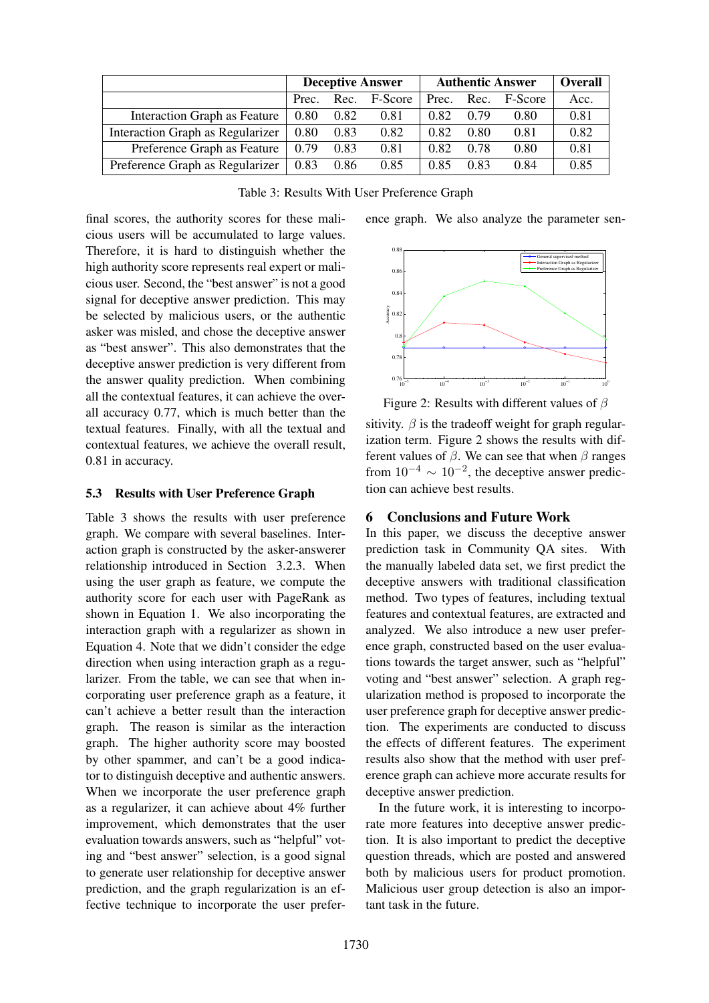|                                  | <b>Deceptive Answer</b> |            |         | <b>Authentic Answer</b> |      |                    | Overall |
|----------------------------------|-------------------------|------------|---------|-------------------------|------|--------------------|---------|
|                                  |                         | Prec. Rec. | F-Score |                         |      | Prec. Rec. F-Score | Acc.    |
| Interaction Graph as Feature     | 0.80                    | 0.82       | 0.81    | 0.82                    | 0.79 | 0.80               | 0.81    |
| Interaction Graph as Regularizer | 0.80                    | 0.83       | 0.82    | 0.82                    | 0.80 | 0.81               | 0.82    |
| Preference Graph as Feature      | 0.79                    | 0.83       | 0.81    | 0.82                    | 0.78 | 0.80               | 0.81    |
| Preference Graph as Regularizer  | 0.83                    | 0.86       | 0.85    | 0.85                    | 0.83 | 0.84               | 0.85    |

Table 3: Results With User Preference Graph

ence graph. We also analyze the parameter sen-

final scores, the authority scores for these malicious users will be accumulated to large values. Therefore, it is hard to distinguish whether the high authority score represents real expert or malicious user. Second, the "best answer" is not a good signal for deceptive answer prediction. This may be selected by malicious users, or the authentic asker was misled, and chose the deceptive answer as "best answer". This also demonstrates that the deceptive answer prediction is very different from the answer quality prediction. When combining all the contextual features, it can achieve the overall accuracy 0.77, which is much better than the textual features. Finally, with all the textual and contextual features, we achieve the overall result, 0.81 in accuracy.

### 5.3 Results with User Preference Graph

Table 3 shows the results with user preference graph. We compare with several baselines. Interaction graph is constructed by the asker-answerer relationship introduced in Section 3.2.3. When using the user graph as feature, we compute the authority score for each user with PageRank as shown in Equation 1. We also incorporating the interaction graph with a regularizer as shown in Equation 4. Note that we didn't consider the edge direction when using interaction graph as a regularizer. From the table, we can see that when incorporating user preference graph as a feature, it can't achieve a better result than the interaction graph. The reason is similar as the interaction graph. The higher authority score may boosted by other spammer, and can't be a good indicator to distinguish deceptive and authentic answers. When we incorporate the user preference graph as a regularizer, it can achieve about 4% further improvement, which demonstrates that the user evaluation towards answers, such as "helpful" voting and "best answer" selection, is a good signal to generate user relationship for deceptive answer prediction, and the graph regularization is an effective technique to incorporate the user prefer-



Figure 2: Results with different values of  $\beta$ 

sitivity.  $\beta$  is the tradeoff weight for graph regularization term. Figure 2 shows the results with different values of  $\beta$ . We can see that when  $\beta$  ranges from  $10^{-4} \sim 10^{-2}$ , the deceptive answer prediction can achieve best results.

# 6 Conclusions and Future Work

In this paper, we discuss the deceptive answer prediction task in Community QA sites. With the manually labeled data set, we first predict the deceptive answers with traditional classification method. Two types of features, including textual features and contextual features, are extracted and analyzed. We also introduce a new user preference graph, constructed based on the user evaluations towards the target answer, such as "helpful" voting and "best answer" selection. A graph regularization method is proposed to incorporate the user preference graph for deceptive answer prediction. The experiments are conducted to discuss the effects of different features. The experiment results also show that the method with user preference graph can achieve more accurate results for deceptive answer prediction.

In the future work, it is interesting to incorporate more features into deceptive answer prediction. It is also important to predict the deceptive question threads, which are posted and answered both by malicious users for product promotion. Malicious user group detection is also an important task in the future.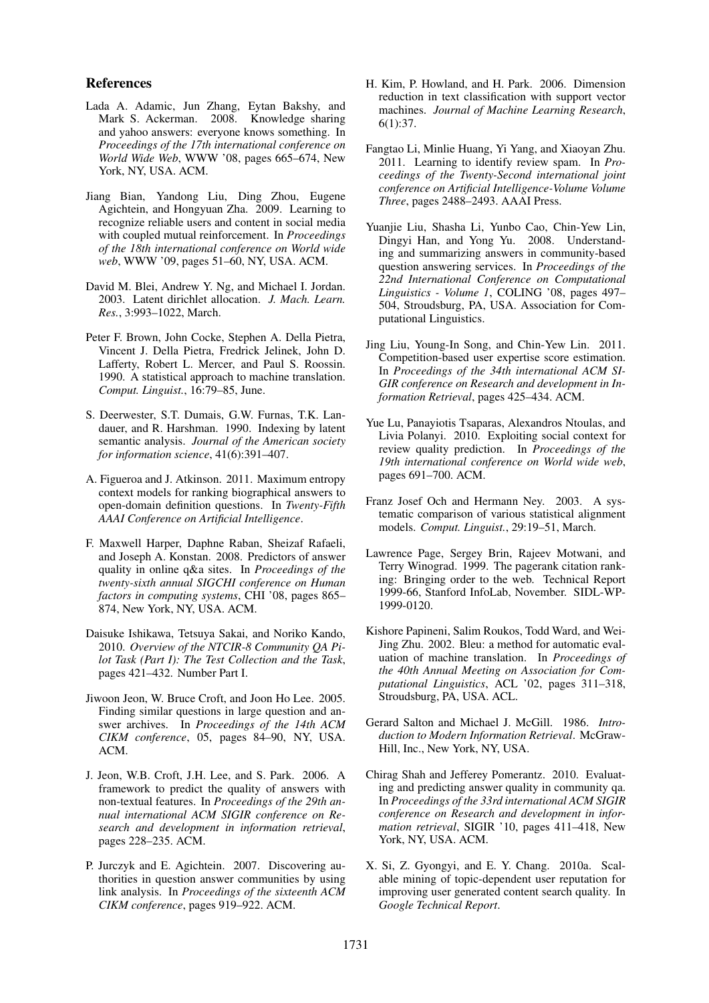### References

- Lada A. Adamic, Jun Zhang, Eytan Bakshy, and Mark S. Ackerman. 2008. Knowledge sharing and yahoo answers: everyone knows something. In *Proceedings of the 17th international conference on World Wide Web*, WWW '08, pages 665–674, New York, NY, USA. ACM.
- Jiang Bian, Yandong Liu, Ding Zhou, Eugene Agichtein, and Hongyuan Zha. 2009. Learning to recognize reliable users and content in social media with coupled mutual reinforcement. In *Proceedings of the 18th international conference on World wide web*, WWW '09, pages 51–60, NY, USA. ACM.
- David M. Blei, Andrew Y. Ng, and Michael I. Jordan. 2003. Latent dirichlet allocation. *J. Mach. Learn. Res.*, 3:993–1022, March.
- Peter F. Brown, John Cocke, Stephen A. Della Pietra, Vincent J. Della Pietra, Fredrick Jelinek, John D. Lafferty, Robert L. Mercer, and Paul S. Roossin. 1990. A statistical approach to machine translation. *Comput. Linguist.*, 16:79–85, June.
- S. Deerwester, S.T. Dumais, G.W. Furnas, T.K. Landauer, and R. Harshman. 1990. Indexing by latent semantic analysis. *Journal of the American society for information science*, 41(6):391–407.
- A. Figueroa and J. Atkinson. 2011. Maximum entropy context models for ranking biographical answers to open-domain definition questions. In *Twenty-Fifth AAAI Conference on Artificial Intelligence*.
- F. Maxwell Harper, Daphne Raban, Sheizaf Rafaeli, and Joseph A. Konstan. 2008. Predictors of answer quality in online q&a sites. In *Proceedings of the twenty-sixth annual SIGCHI conference on Human factors in computing systems*, CHI '08, pages 865– 874, New York, NY, USA. ACM.
- Daisuke Ishikawa, Tetsuya Sakai, and Noriko Kando, 2010. *Overview of the NTCIR-8 Community QA Pilot Task (Part I): The Test Collection and the Task*, pages 421–432. Number Part I.
- Jiwoon Jeon, W. Bruce Croft, and Joon Ho Lee. 2005. Finding similar questions in large question and answer archives. In *Proceedings of the 14th ACM CIKM conference*, 05, pages 84–90, NY, USA. ACM.
- J. Jeon, W.B. Croft, J.H. Lee, and S. Park. 2006. A framework to predict the quality of answers with non-textual features. In *Proceedings of the 29th annual international ACM SIGIR conference on Research and development in information retrieval*, pages 228–235. ACM.
- P. Jurczyk and E. Agichtein. 2007. Discovering authorities in question answer communities by using link analysis. In *Proceedings of the sixteenth ACM CIKM conference*, pages 919–922. ACM.
- H. Kim, P. Howland, and H. Park. 2006. Dimension reduction in text classification with support vector machines. *Journal of Machine Learning Research*, 6(1):37.
- Fangtao Li, Minlie Huang, Yi Yang, and Xiaoyan Zhu. 2011. Learning to identify review spam. In *Proceedings of the Twenty-Second international joint conference on Artificial Intelligence-Volume Volume Three*, pages 2488–2493. AAAI Press.
- Yuanjie Liu, Shasha Li, Yunbo Cao, Chin-Yew Lin, Dingyi Han, and Yong Yu. 2008. Understanding and summarizing answers in community-based question answering services. In *Proceedings of the 22nd International Conference on Computational Linguistics - Volume 1*, COLING '08, pages 497– 504, Stroudsburg, PA, USA. Association for Computational Linguistics.
- Jing Liu, Young-In Song, and Chin-Yew Lin. 2011. Competition-based user expertise score estimation. In *Proceedings of the 34th international ACM SI-GIR conference on Research and development in Information Retrieval*, pages 425–434. ACM.
- Yue Lu, Panayiotis Tsaparas, Alexandros Ntoulas, and Livia Polanyi. 2010. Exploiting social context for review quality prediction. In *Proceedings of the 19th international conference on World wide web*, pages 691–700. ACM.
- Franz Josef Och and Hermann Ney. 2003. A systematic comparison of various statistical alignment models. *Comput. Linguist.*, 29:19–51, March.
- Lawrence Page, Sergey Brin, Rajeev Motwani, and Terry Winograd. 1999. The pagerank citation ranking: Bringing order to the web. Technical Report 1999-66, Stanford InfoLab, November. SIDL-WP-1999-0120.
- Kishore Papineni, Salim Roukos, Todd Ward, and Wei-Jing Zhu. 2002. Bleu: a method for automatic evaluation of machine translation. In *Proceedings of the 40th Annual Meeting on Association for Computational Linguistics*, ACL '02, pages 311–318, Stroudsburg, PA, USA. ACL.
- Gerard Salton and Michael J. McGill. 1986. *Introduction to Modern Information Retrieval*. McGraw-Hill, Inc., New York, NY, USA.
- Chirag Shah and Jefferey Pomerantz. 2010. Evaluating and predicting answer quality in community qa. In *Proceedings of the 33rd international ACM SIGIR conference on Research and development in information retrieval*, SIGIR '10, pages 411–418, New York, NY, USA. ACM.
- X. Si, Z. Gyongyi, and E. Y. Chang. 2010a. Scalable mining of topic-dependent user reputation for improving user generated content search quality. In *Google Technical Report*.